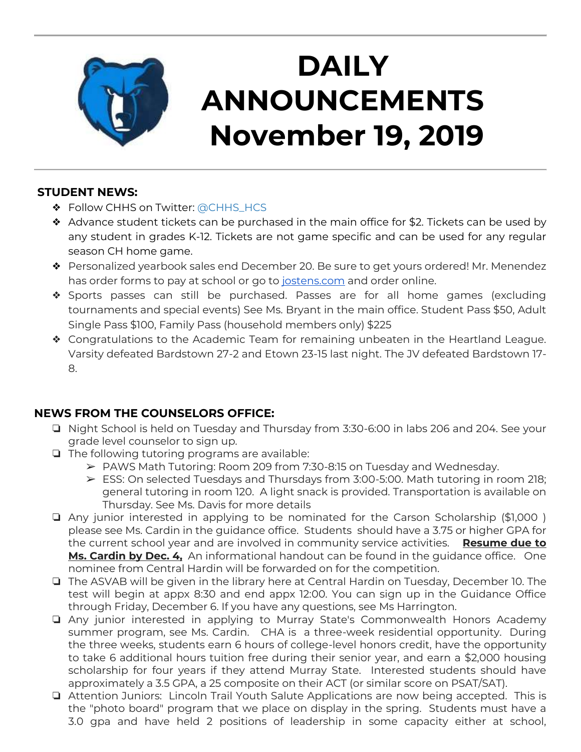

# **DAILY ANNOUNCEMENTS November 19, 2019**

### **STUDENT NEWS:**

- ❖ Follow CHHS on Twitter: [@CHHS\\_HCS](https://twitter.com/CHHS_HCS)
- ❖ Advance student tickets can be purchased in the main office for \$2. Tickets can be used by any student in grades K-12. Tickets are not game specific and can be used for any regular season CH home game.
- ❖ Personalized yearbook sales end December 20. Be sure to get yours ordered! Mr. Menendez has order forms to pay at school or go to [jostens.com](http://jostens.com/) and order online.
- ❖ Sports passes can still be purchased. Passes are for all home games (excluding tournaments and special events) See Ms. Bryant in the main office. Student Pass \$50, Adult Single Pass \$100, Family Pass (household members only) \$225
- ❖ Congratulations to the Academic Team for remaining unbeaten in the Heartland League. Varsity defeated Bardstown 27-2 and Etown 23-15 last night. The JV defeated Bardstown 17- 8.

## **NEWS FROM THE COUNSELORS OFFICE:**

- ❏ Night School is held on Tuesday and Thursday from 3:30-6:00 in labs 206 and 204. See your grade level counselor to sign up.
- ❏ The following tutoring programs are available:
	- ➢ PAWS Math Tutoring: Room 209 from 7:30-8:15 on Tuesday and Wednesday.
	- ➢ ESS: On selected Tuesdays and Thursdays from 3:00-5:00. Math tutoring in room 218; general tutoring in room 120. A light snack is provided. Transportation is available on Thursday. See Ms. Davis for more details
- ❏ Any junior interested in applying to be nominated for the Carson Scholarship (\$1,000 ) please see Ms. Cardin in the guidance office. Students should have a 3.75 or higher GPA for the current school year and are involved in community service activities. **Resume due to Ms. Cardin by Dec. 4,** An informational handout can be found in the guidance office. One nominee from Central Hardin will be forwarded on for the competition.
- ❏ The ASVAB will be given in the library here at Central Hardin on Tuesday, December 10. The test will begin at appx 8:30 and end appx 12:00. You can sign up in the Guidance Office through Friday, December 6. If you have any questions, see Ms Harrington.
- ❏ Any junior interested in applying to Murray State's Commonwealth Honors Academy summer program, see Ms. Cardin. CHA is a three-week residential opportunity. During the three weeks, students earn 6 hours of college-level honors credit, have the opportunity to take 6 additional hours tuition free during their senior year, and earn a \$2,000 housing scholarship for four years if they attend Murray State. Interested students should have approximately a 3.5 GPA, a 25 composite on their ACT (or similar score on PSAT/SAT).
- ❏ Attention Juniors: Lincoln Trail Youth Salute Applications are now being accepted. This is the "photo board" program that we place on display in the spring. Students must have a 3.0 gpa and have held 2 positions of leadership in some capacity either at school,